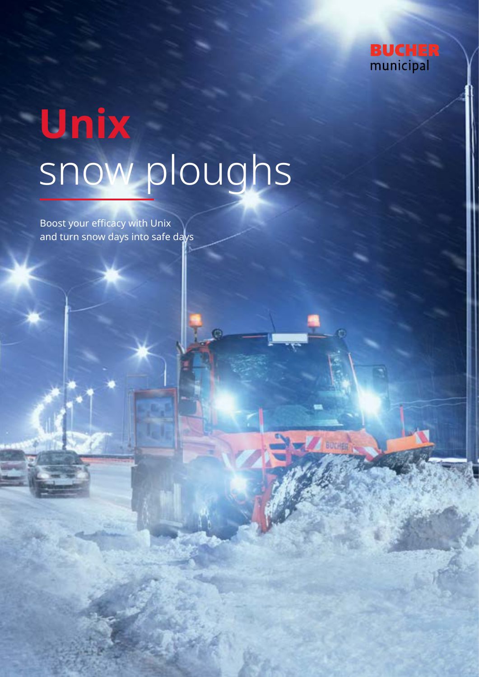

## **Unix** snow ploughs

Boost your efficacy with Unix and turn snow days into safe days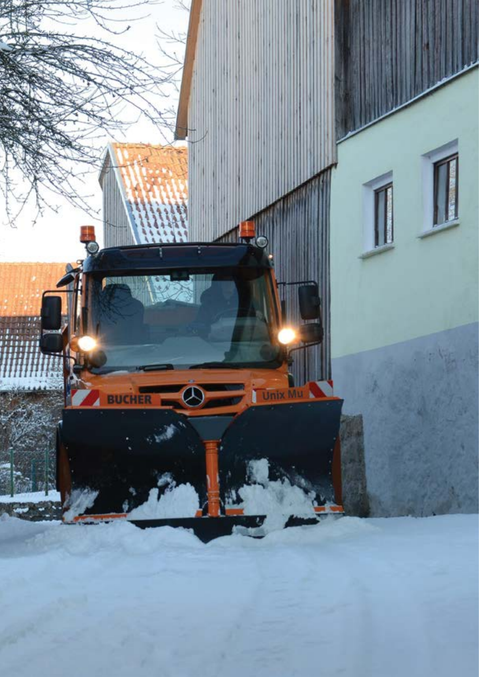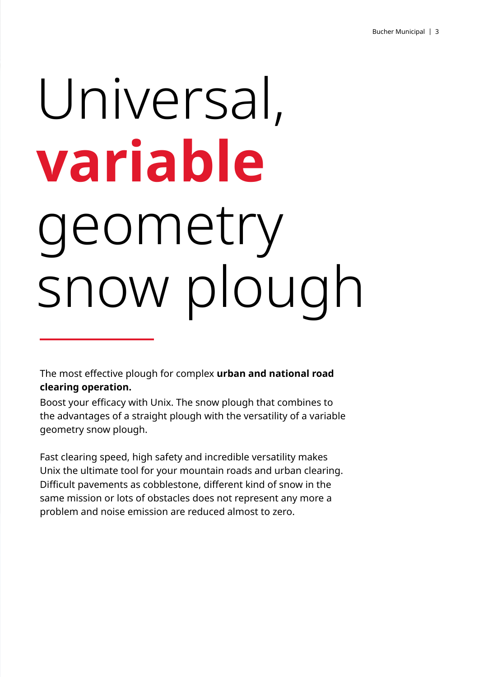# Universal, **variable** geometry snow plough

The most effective plough for complex **urban and national road clearing operation.**

Boost your efficacy with Unix. The snow plough that combines to the advantages of a straight plough with the versatility of a variable geometry snow plough.

Fast clearing speed, high safety and incredible versatility makes Unix the ultimate tool for your mountain roads and urban clearing. Difficult pavements as cobblestone, different kind of snow in the same mission or lots of obstacles does not represent any more a problem and noise emission are reduced almost to zero.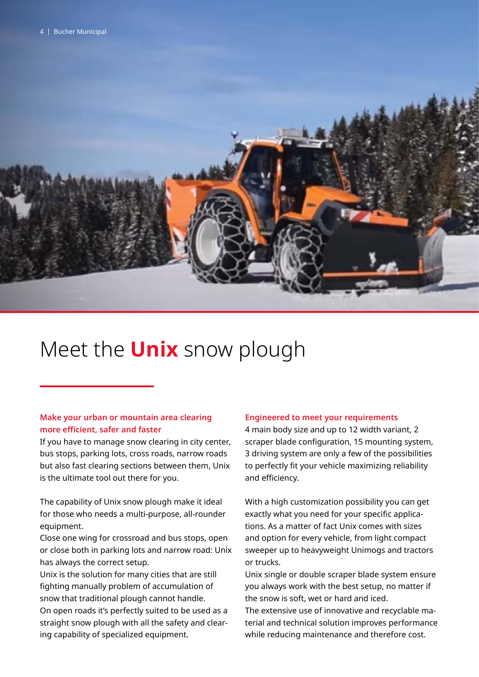

### Meet the **Unix** snow plough

#### **Make your urban or mountain area clearing more efficient, safer and faster**

If you have to manage snow clearing in city center, bus stops, parking lots, cross roads, narrow roads but also fast clearing sections between them, Unix is the ultimate tool out there for you.

The capability of Unix snow plough make it ideal for those who needs a multi-purpose, all-rounder equipment.

Close one wing for crossroad and bus stops, open or close both in parking lots and narrow road: Unix has always the correct setup.

Unix is the solution for many cities that are still fighting manually problem of accumulation of snow that traditional plough cannot handle. On open roads it's perfectly suited to be used as a straight snow plough with all the safety and clearing capability of specialized equipment.

#### **Engineered to meet your requirements**

4 main body size and up to 12 width variant, 2 scraper blade configuration, 15 mounting system, 3 driving system are only a few of the possibilities to perfectly fit your vehicle maximizing reliability and efficiency.

With a high customization possibility you can get exactly what you need for your specific applications. As a matter of fact Unix comes with sizes and option for every vehicle, from light compact sweeper up to heavyweight Unimogs and tractors or trucks.

Unix single or double scraper blade system ensure you always work with the best setup, no matter if the snow is soft, wet or hard and iced.

The extensive use of innovative and recyclable material and technical solution improves performance while reducing maintenance and therefore cost.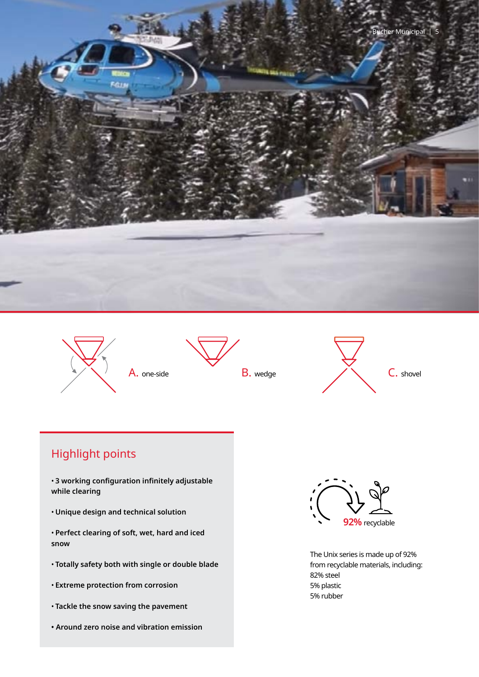







#### Highlight points

• **3 working configuration infinitely adjustable while clearing**

- **Unique design and technical solution**
- **Perfect clearing of soft, wet, hard and iced snow**
- **Totally safety both with single or double blade**
- **Extreme protection from corrosion**
- **Tackle the snow saving the pavement**
- **Around zero noise and vibration emission**



The Unix series is made up of 92% from recyclable materials, including: 82% steel 5% plastic 5% rubber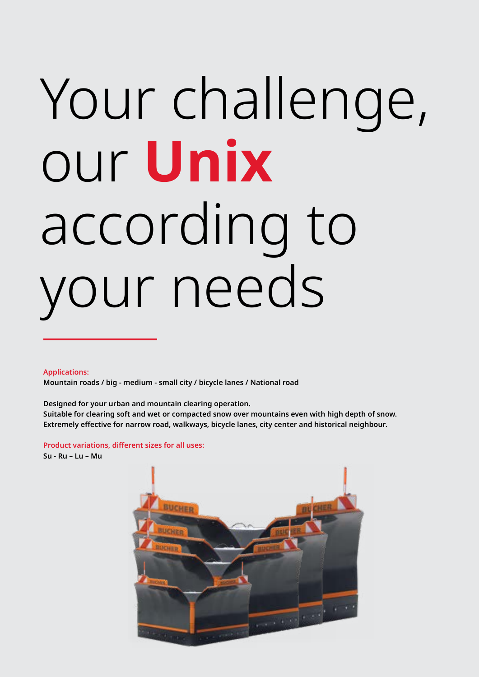# Your challenge, our **Unix** according to your needs

#### **Applications:**

**Mountain roads / big - medium - small city / bicycle lanes / National road** 

**Designed for your urban and mountain clearing operation.**

**Suitable for clearing soft and wet or compacted snow over mountains even with high depth of snow. Extremely effective for narrow road, walkways, bicycle lanes, city center and historical neighbour.**

#### **Product variations, different sizes for all uses:**

**Su - Ru – Lu – Mu** 

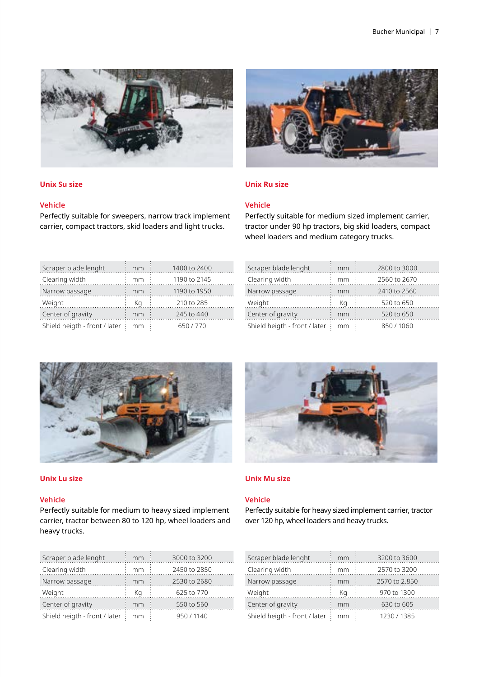

#### **Unix Su size**

#### **Vehicle**

Perfectly suitable for sweepers, narrow track implement carrier, compact tractors, skid loaders and light trucks.

| Scraper blade lenght          | mm | 1400 to 2400 |
|-------------------------------|----|--------------|
| Clearing width                | mm | 1190 to 2145 |
| Narrow passage                | mm | 1190 to 1950 |
| Weight                        | Кq | 210 to 285   |
| Center of gravity             | mm | 245 to 440   |
| Shield heigth - front / later | mm | 650/770      |



#### **Unix Ru size**

#### **Vehicle**

Perfectly suitable for medium sized implement carrier, tractor under 90 hp tractors, big skid loaders, compact wheel loaders and medium category trucks.

| Scraper blade lenght           | mm | 2800 to 3000 |
|--------------------------------|----|--------------|
| Clearing width                 | mm | 2560 to 2670 |
| Narrow passage                 | mm | 2410 to 2560 |
| Weight                         | Kg | 520 to 650   |
| Center of gravity              | mm | 520 to 650   |
| Shield heigth - front / later: | mm | 850/1060     |



#### **Unix Lu size**

#### **Vehicle**

Perfectly suitable for medium to heavy sized implement carrier, tractor between 80 to 120 hp, wheel loaders and heavy trucks.

| Scraper blade lenght            | mm | 3000 to 3200 |
|---------------------------------|----|--------------|
| Clearing width                  | mm | 2450 to 2850 |
| Narrow passage                  | mm | 2530 to 2680 |
| Weight                          | Kq | 625 to 770   |
| Center of gravity               | mm | 550 to 560   |
| Shield heigth - front / later : | mm | 950/1140     |



#### **Unix Mu size**

#### **Vehicle**

Perfectly suitable for heavy sized implement carrier, tractor over 120 hp, wheel loaders and heavy trucks.

| Scraper blade lenght          | mm | 3200 to 3600  |
|-------------------------------|----|---------------|
| Clearing width                | mm | 2570 to 3200  |
| Narrow passage                | mm | 2570 to 2.850 |
| Weight                        | Kq | 970 to 1300   |
| Center of gravity             | mm | 630 to 605    |
| Shield heigth - front / later | mm | 1230 / 1385   |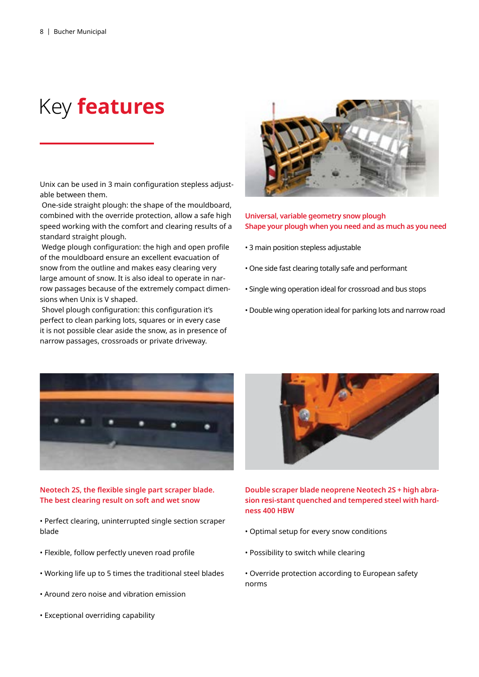### Key **features**

Unix can be used in 3 main configuration stepless adjustable between them.

 One-side straight plough: the shape of the mouldboard, combined with the override protection, allow a safe high speed working with the comfort and clearing results of a standard straight plough.

 Wedge plough configuration: the high and open profile of the mouldboard ensure an excellent evacuation of snow from the outline and makes easy clearing very large amount of snow. It is also ideal to operate in narrow passages because of the extremely compact dimensions when Unix is V shaped.

 Shovel plough configuration: this configuration it's perfect to clean parking lots, squares or in every case it is not possible clear aside the snow, as in presence of narrow passages, crossroads or private driveway.



#### **Universal, variable geometry snow plough Shape your plough when you need and as much as you need**

- 3 main position stepless adjustable
- One side fast clearing totally safe and performant
- Single wing operation ideal for crossroad and bus stops
- Double wing operation ideal for parking lots and narrow road



#### **Neotech 2S, the flexible single part scraper blade. The best clearing result on soft and wet snow**

• Perfect clearing, uninterrupted single section scraper blade

- Flexible, follow perfectly uneven road profile
- Working life up to 5 times the traditional steel blades
- Around zero noise and vibration emission
- Exceptional overriding capability



**Double scraper blade neoprene Neotech 2S + high abrasion resi-stant quenched and tempered steel with hardness 400 HBW**

- Optimal setup for every snow conditions
- Possibility to switch while clearing
- Override protection according to European safety norms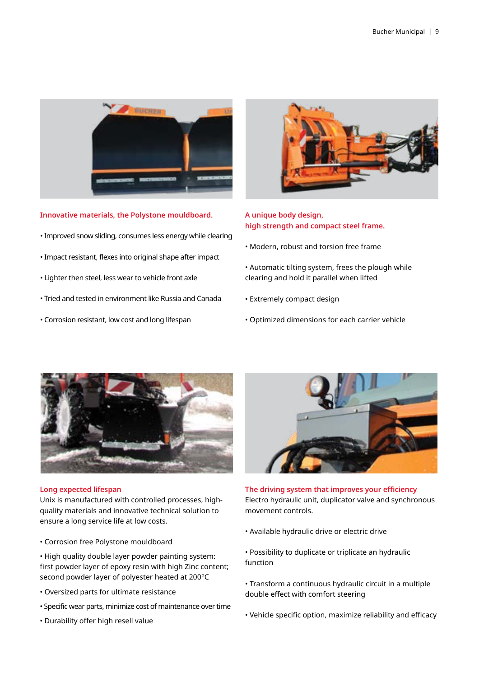

#### **Innovative materials, the Polystone mouldboard.**

- Improved snow sliding, consumes less energy while clearing
- Impact resistant, flexes into original shape after impact
- Lighter then steel, less wear to vehicle front axle
- Tried and tested in environment like Russia and Canada
- Corrosion resistant, low cost and long lifespan



#### **A unique body design, high strength and compact steel frame.**

- Modern, robust and torsion free frame
- Automatic tilting system, frees the plough while clearing and hold it parallel when lifted
- Extremely compact design
- Optimized dimensions for each carrier vehicle



#### **Long expected lifespan**

Unix is manufactured with controlled processes, highquality materials and innovative technical solution to ensure a long service life at low costs.

• Corrosion free Polystone mouldboard

• High quality double layer powder painting system: first powder layer of epoxy resin with high Zinc content; second powder layer of polyester heated at 200°C

- Oversized parts for ultimate resistance
- Specific wear parts, minimize cost of maintenance over time
- Durability offer high resell value



**The driving system that improves your efficiency** Electro hydraulic unit, duplicator valve and synchronous movement controls.

- Available hydraulic drive or electric drive
- Possibility to duplicate or triplicate an hydraulic function
- Transform a continuous hydraulic circuit in a multiple double effect with comfort steering
- Vehicle specific option, maximize reliability and efficacy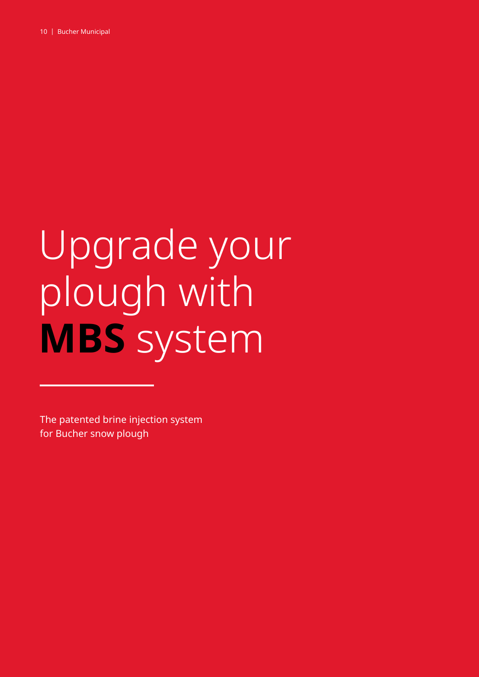## Upgrade your plough with **MBS** system

The patented brine injection system for Bucher snow plough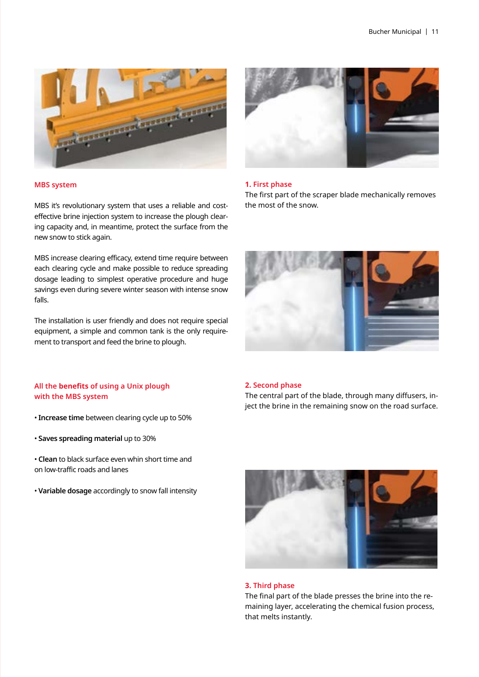

#### **MBS system**

MBS it's revolutionary system that uses a reliable and costeffective brine injection system to increase the plough clearing capacity and, in meantime, protect the surface from the new snow to stick again.

MBS increase clearing efficacy, extend time require between each clearing cycle and make possible to reduce spreading dosage leading to simplest operative procedure and huge savings even during severe winter season with intense snow falls.

The installation is user friendly and does not require special equipment, a simple and common tank is the only requirement to transport and feed the brine to plough.

#### **All the benefits of using a Unix plough with the MBS system**

- **Increase time** between clearing cycle up to 50%
- **Saves spreading material** up to 30%
- **Clean** to black surface even whin short time and on low-traffic roads and lanes
- **Variable dosage** accordingly to snow fall intensity



#### **1. First phase**

The first part of the scraper blade mechanically removes the most of the snow.



#### **2. Second phase**

The central part of the blade, through many diffusers, inject the brine in the remaining snow on the road surface.



#### **3. Third phase**

The final part of the blade presses the brine into the remaining layer, accelerating the chemical fusion process, that melts instantly.